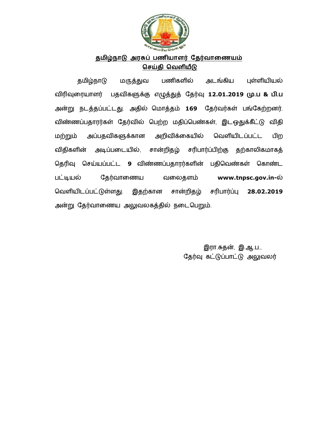

## <u>தமிழ்நாடு அரசுப் பணியாளர் தேர்வாணையம்</u> **ெசதி ெவளய**

தமிழ்நாடு மருத்துவ பணிகளில் அடங்கிய புள்ளியியல் விரிவுரையாளர் பதவிகளுக்கு எழுத்துத் தேர்வு **12.01.2019 மு.ப & பி.ப** அன்று நடத்தப்பட்டது. அதில் மொத்தம் **169** தேர்வர்கள் பங்கேற்றனர். விண்ணப்பதாரர்கள் தேர்வில் பெற்ற மதிப்பெண்கள், இடஒதுக்கீட்டு விதி மற்றும் அப்பதவிகளுக்கான அறிவிக்கையில் வெளியிடப்பட்ட பிற விதிகளின் அடிப்படையில், சான்றிதழ் சரிபார்ப்பிற்கு தற்காலிகமாகத் தெரிவு செய்யப்பட்ட 9 விண்ணப்பதாரர்களின் பதிவெண்கள் கொண்ட பட்டியல் தேர்வாணைய வலைதளம் www.tnpsc.gov.in-ல் வெளியிடப்பட்டுள்ளது. இதற்கான சான்றிதழ் சரிபார்ப்பு 28.02.2019 அன்று தேரவாணைய அலுவலகததில நடைபெறும்.

> **இரா.சுதன், இ.ஆ.ப.,** தேர்வு கட்டுப்பாட்டு அலுவலர்